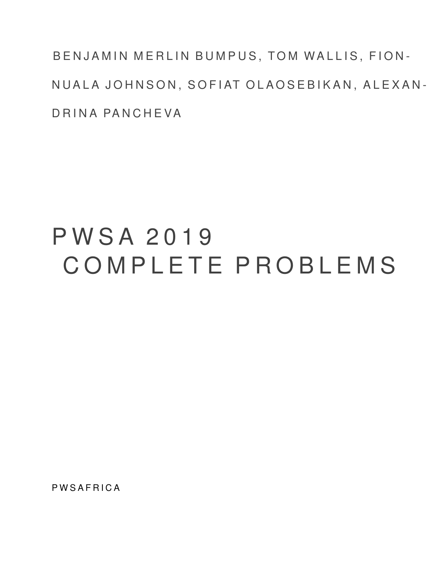BENJAMIN MERLIN BUMPUS, TOM WALLIS, FION-NUALA JOHNSON, SOFIAT OLAOSEBIKAN, ALEXAN-D R I N A PAN CHEVA

# P W S A 2 0 1 9 C O M P L E T E P R O B L E M S

**PWSAFRICA**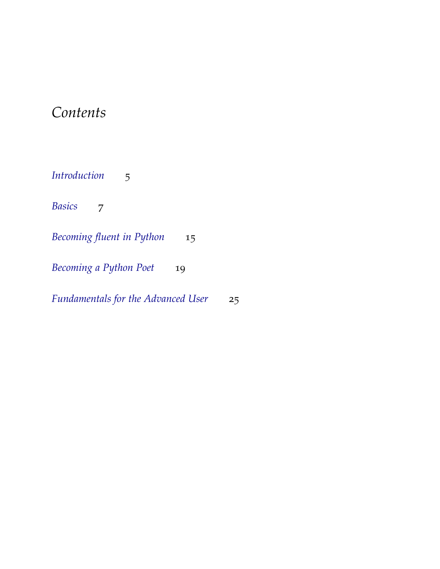# *Contents*

*[Introduction](#page-4-0)* 5 *[Basics](#page-6-0)* 7 *[Becoming fluent in Python](#page-14-0)* 15 *[Becoming a Python Poet](#page-18-0)* 19

*[Fundamentals for the Advanced User](#page-24-0)* 25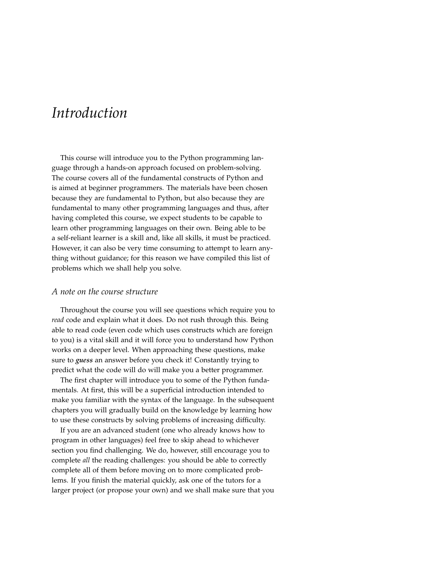# <span id="page-4-0"></span>*Introduction*

This course will introduce you to the Python programming language through a hands-on approach focused on problem-solving. The course covers all of the fundamental constructs of Python and is aimed at beginner programmers. The materials have been chosen because they are fundamental to Python, but also because they are fundamental to many other programming languages and thus, after having completed this course, we expect students to be capable to learn other programming languages on their own. Being able to be a self-reliant learner is a skill and, like all skills, it must be practiced. However, it can also be very time consuming to attempt to learn anything without guidance; for this reason we have compiled this list of problems which we shall help you solve.

#### *A note on the course structure*

Throughout the course you will see questions which require you to *read* code and explain what it does. Do not rush through this. Being able to read code (even code which uses constructs which are foreign to you) is a vital skill and it will force you to understand how Python works on a deeper level. When approaching these questions, make sure to *guess* an answer before you check it! Constantly trying to predict what the code will do will make you a better programmer.

The first chapter will introduce you to some of the Python fundamentals. At first, this will be a superficial introduction intended to make you familiar with the syntax of the language. In the subsequent chapters you will gradually build on the knowledge by learning how to use these constructs by solving problems of increasing difficulty.

If you are an advanced student (one who already knows how to program in other languages) feel free to skip ahead to whichever section you find challenging. We do, however, still encourage you to complete *all* the reading challenges: you should be able to correctly complete all of them before moving on to more complicated problems. If you finish the material quickly, ask one of the tutors for a larger project (or propose your own) and we shall make sure that you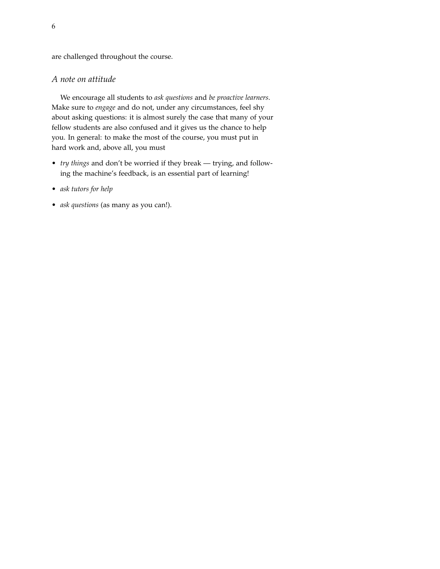are challenged throughout the course.

# *A note on attitude*

We encourage all students to *ask questions* and *be proactive learners*. Make sure to *engage* and do not, under any circumstances, feel shy about asking questions: it is almost surely the case that many of your fellow students are also confused and it gives us the chance to help you. In general: to make the most of the course, you must put in hard work and, above all, you must

- *try things* and don't be worried if they break trying, and following the machine's feedback, is an essential part of learning!
- *ask tutors for help*
- *ask questions* (as many as you can!).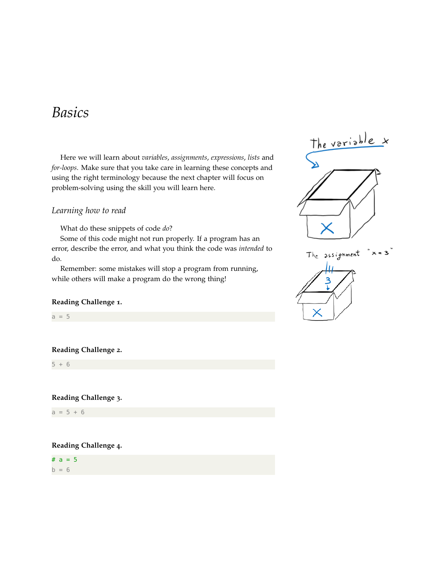# <span id="page-6-0"></span>*Basics*

Here we will learn about *variables*, *assignments*, *expressions*, *lists* and *for-loops*. Make sure that you take care in learning these concepts and using the right terminology because the next chapter will focus on problem-solving using the skill you will learn here.

# *Learning how to read*

What do these snippets of code *do*?

Some of this code might not run properly. If a program has an error, describe the error, and what you think the code was *intended* to do.

Remember: some mistakes will stop a program from running, while others will make a program do the wrong thing!

### **Reading Challenge 1.**

 $a = 5$ 

#### **Reading Challenge 2.**

 $5 + 6$ 

**Reading Challenge 3.**

 $a = 5 + 6$ 

**Reading Challenge 4.**

#  $a = 5$  $b = 6$ 



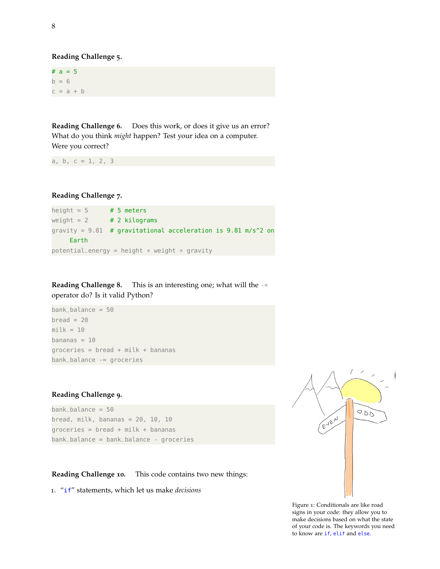**Reading Challenge 5.**

#  $a = 5$  $b = 6$  $c = a + b$ 

**Reading Challenge 6.** Does this work, or does it give us an error? What do you think *might* happen? Test your idea on a computer. Were you correct?

a, b,  $c = 1, 2, 3$ 

**Reading Challenge 7.**

height =  $5$  # 5 meters weight =  $2 + 2$  kilograms gravity =  $9.81$  # gravitational acceleration is  $9.81$  m/s^2 on Earth  $potential_{energy} = height * weight * grawity$ 

**Reading Challenge 8.** This is an interesting one; what will the -= operator do? Is it valid Python?

```
bank_balance = 50
break = 20milk = 10bananas = 10groceries = break + milk + bananasbank_balance -= groceries
```
# **Reading Challenge 9.**

 $bank_b$ alance = 50 bread, milk, bananas =  $20$ ,  $10$ ,  $10$ groceries =  $break + milk + bananas$ bank\_balance = bank\_balance - groceries

**Reading Challenge 10.** This code contains two new things:

1. "if" statements, which let us make *decisions*



Figure 1: Conditionals are like road signs in your code: they allow you to make decisions based on what the state of your code is. The keywords you need to know are if, elif and else.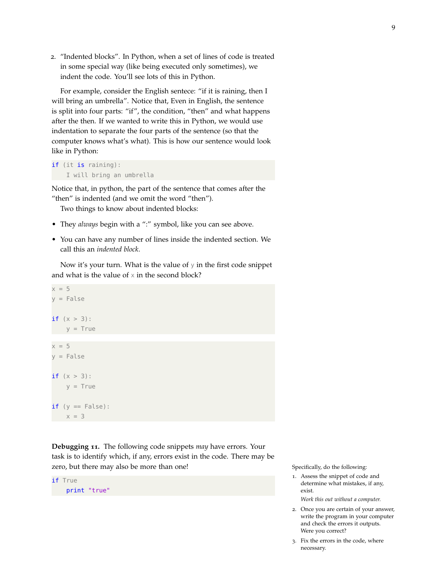2. "Indented blocks". In Python, when a set of lines of code is treated in some special way (like being executed only sometimes), we indent the code. You'll see lots of this in Python.

For example, consider the English sentece: "if it is raining, then I will bring an umbrella". Notice that, Even in English, the sentence is split into four parts: "if", the condition, "then" and what happens after the then. If we wanted to write this in Python, we would use indentation to separate the four parts of the sentence (so that the computer knows what's what). This is how our sentence would look like in Python:

```
if (it is raining):
    I will bring an umbrella
```
Notice that, in python, the part of the sentence that comes after the "then" is indented (and we omit the word "then").

Two things to know about indented blocks:

- They *always* begin with a ":" symbol, like you can see above.
- You can have any number of lines inside the indented section. We call this an *indented block*.

Now it's your turn. What is the value of y in the first code snippet and what is the value of  $\times$  in the second block?

```
x = 5y = False
if (x > 3):
   y = True
x = 5y = False
if (x > 3):
   y = Trueif (y == False):
    x = 3
```
**Debugging 11.** The following code snippets *may* have errors. Your task is to identify which, if any, errors exist in the code. There may be zero, but there may also be more than one! Specifically, do the following:



1. Assess the snippet of code and determine what mistakes, if any, exist.

*Work this out without a computer.*

- 2. Once you are certain of your answer, write the program in your computer and check the errors it outputs. Were you correct?
- 3. Fix the errors in the code, where necessary.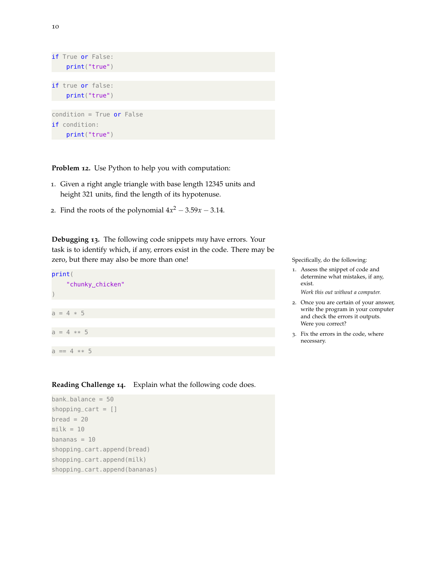

**Problem 12.** Use Python to help you with computation:

- 1. Given a right angle triangle with base length 12345 units and height 321 units, find the length of its hypotenuse.
- 2. Find the roots of the polynomial  $4x^2 3.59x 3.14$ .

**Debugging 13.** The following code snippets *may* have errors. Your task is to identify which, if any, errors exist in the code. There may be zero, but there may also be more than one! Specifically, do the following:



**Reading Challenge 14.** Explain what the following code does.

```
bank_balance = 50
shopping_cart = []break = 20milk = 10bananas = 10shopping_cart.append(bread)
shopping_cart.append(milk)
shopping_cart.append(bananas)
```
- 1. Assess the snippet of code and determine what mistakes, if any, exist.
	- *Work this out without a computer.*
- 2. Once you are certain of your answer, write the program in your computer and check the errors it outputs. Were you correct?
- 3. Fix the errors in the code, where necessary.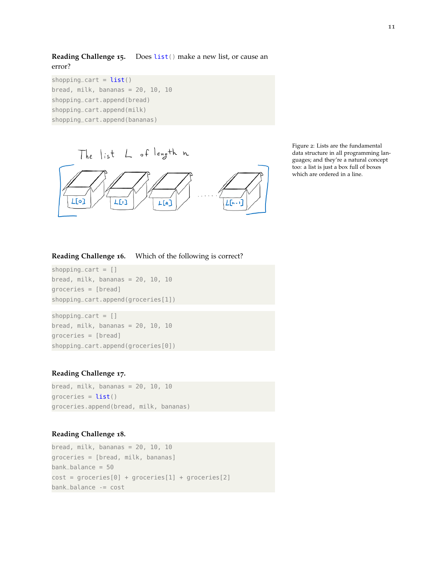**Reading Challenge 15.** Does list() make a new list, or cause an error?

shopping cart =  $list()$ bread, milk, bananas =  $20$ ,  $10$ ,  $10$ shopping\_cart.append(bread) shopping\_cart.append(milk) shopping\_cart.append(bananas)



Figure 2: Lists are the fundamental data structure in all programming languages; and they're a natural concept too: a list is just a box full of boxes which are ordered in a line.

### **Reading Challenge 16.** Which of the following is correct?

 $shopping\_cart = []$ bread, milk, bananas =  $20$ ,  $10$ ,  $10$ groceries = [bread] shopping\_cart.append(groceries[1])

 $shopping\_cart = []$ bread, milk, bananas =  $20$ ,  $10$ ,  $10$ groceries = [bread] shopping\_cart.append(groceries[0])

#### **Reading Challenge 17.**

bread, milk, bananas =  $20$ ,  $10$ ,  $10$ groceries =  $list()$ groceries.append(bread, milk, bananas)

### **Reading Challenge 18.**

bread, milk, bananas =  $20$ ,  $10$ ,  $10$ groceries = [bread, milk, bananas]  $bank_b$ alance = 50  $cost = groceries[0] + groceries[1] + groceries[2]$ bank\_balance -= cost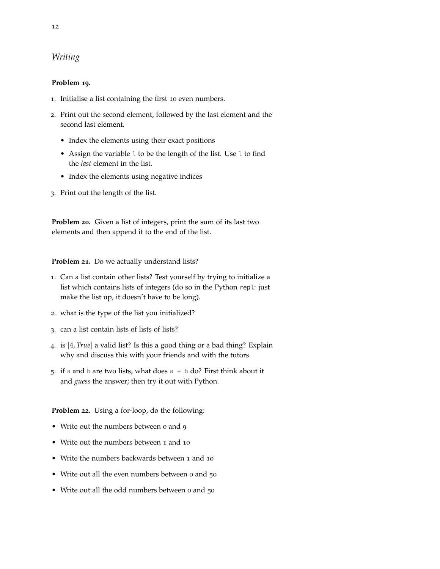# *Writing*

### **Problem 19.**

- 1. Initialise a list containing the first 10 even numbers.
- 2. Print out the second element, followed by the last element and the second last element.
	- Index the elements using their exact positions
	- Assign the variable l to be the length of the list. Use l to find the *last* element in the list.
	- Index the elements using negative indices
- 3. Print out the length of the list.

**Problem 20.** Given a list of integers, print the sum of its last two elements and then append it to the end of the list.

**Problem 21.** Do we actually understand lists?

- 1. Can a list contain other lists? Test yourself by trying to initialize a list which contains lists of integers (do so in the Python repl: just make the list up, it doesn't have to be long).
- 2. what is the type of the list you initialized?
- 3. can a list contain lists of lists of lists?
- 4. is [4, *True*] a valid list? Is this a good thing or a bad thing? Explain why and discuss this with your friends and with the tutors.
- 5. if a and b are two lists, what does  $a + b$  do? First think about it and *guess* the answer; then try it out with Python.

**Problem 22.** Using a for-loop, do the following:

- Write out the numbers between o and 9
- Write out the numbers between 1 and 10
- Write the numbers backwards between 1 and 10
- Write out all the even numbers between o and 50
- Write out all the odd numbers between 0 and 50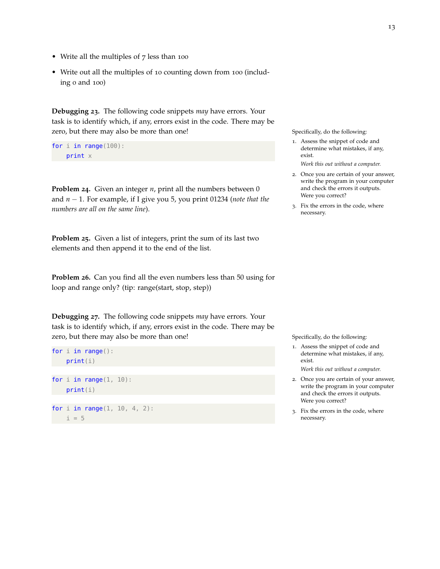- Write all the multiples of 7 less than 100
- Write out all the multiples of 10 counting down from 100 (including 0 and 100)

**Debugging 23.** The following code snippets *may* have errors. Your task is to identify which, if any, errors exist in the code. There may be zero, but there may also be more than one! Specifically, do the following:

```
for i in range(100):
    print x
```
**Problem 24.** Given an integer *n*, print all the numbers between 0 and *n* − 1. For example, if I give you 5, you print 01234 (*note that the numbers are all on the same line*).

**Problem 25.** Given a list of integers, print the sum of its last two elements and then append it to the end of the list.

**Problem 26.** Can you find all the even numbers less than 50 using for loop and range only? (tip: range(start, stop, step))

**Debugging 27.** The following code snippets *may* have errors. Your task is to identify which, if any, errors exist in the code. There may be zero, but there may also be more than one! Specifically, do the following:

```
for i in range():
    print(i)
for i in range(1, 10):
    print(i)
for i in range(1, 10, 4, 2):
   i = 5
```
- 1. Assess the snippet of code and determine what mistakes, if any, exist.
	- *Work this out without a computer.*
- 2. Once you are certain of your answer, write the program in your computer and check the errors it outputs. Were you correct?
- 3. Fix the errors in the code, where necessary.

- 1. Assess the snippet of code and determine what mistakes, if any, exist. *Work this out without a computer.*
- 2. Once you are certain of your answer, write the program in your computer and check the errors it outputs. Were you correct?
- 3. Fix the errors in the code, where necessary.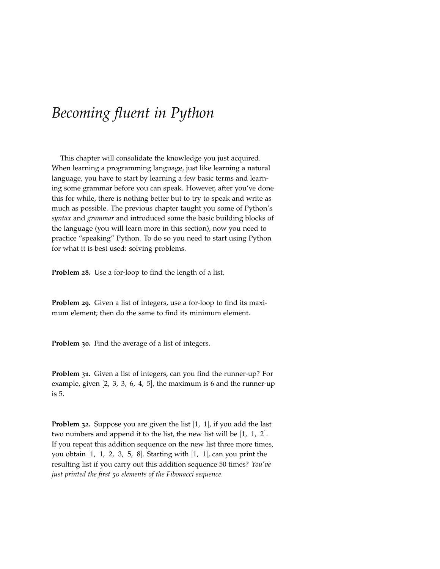# <span id="page-14-0"></span>*Becoming fluent in Python*

This chapter will consolidate the knowledge you just acquired. When learning a programming language, just like learning a natural language, you have to start by learning a few basic terms and learning some grammar before you can speak. However, after you've done this for while, there is nothing better but to try to speak and write as much as possible. The previous chapter taught you some of Python's *syntax* and *grammar* and introduced some the basic building blocks of the language (you will learn more in this section), now you need to practice "speaking" Python. To do so you need to start using Python for what it is best used: solving problems.

**Problem 28.** Use a for-loop to find the length of a list.

**Problem 29.** Given a list of integers, use a for-loop to find its maximum element; then do the same to find its minimum element.

**Problem 30.** Find the average of a list of integers.

**Problem 31.** Given a list of integers, can you find the runner-up? For example, given [2, 3, 3, 6, 4, 5], the maximum is 6 and the runner-up is 5.

<span id="page-14-1"></span>**Problem 32.** Suppose you are given the list [1, 1], if you add the last two numbers and append it to the list, the new list will be [1, 1, 2]. If you repeat this addition sequence on the new list three more times, you obtain  $\begin{bmatrix} 1, 1, 2, 3, 5, 8 \end{bmatrix}$ . Starting with  $\begin{bmatrix} 1, 1 \end{bmatrix}$ , can you print the resulting list if you carry out this addition sequence 50 times? *You've just printed the first 50 elements of the Fibonacci sequence.*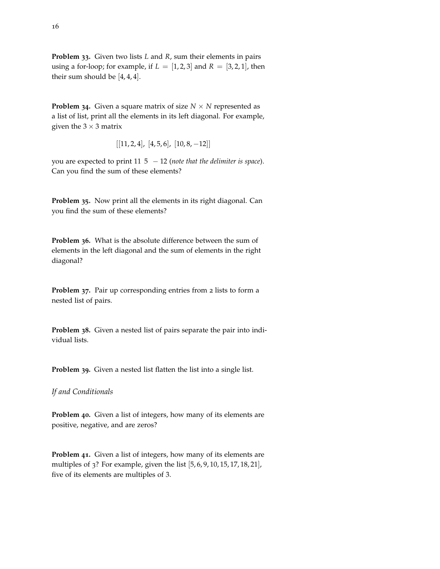**Problem 33.** Given two lists *L* and *R*, sum their elements in pairs using a for-loop; for example, if  $L = [1, 2, 3]$  and  $R = [3, 2, 1]$ , then their sum should be [4, 4, 4].

**Problem 34.** Given a square matrix of size  $N \times N$  represented as a list of list, print all the elements in its left diagonal. For example, given the  $3 \times 3$  matrix

$$
\left[ [11, 2, 4], [4, 5, 6], [10, 8, -12] \right]
$$

you are expected to print 11 5 − 12 (*note that the delimiter is space*). Can you find the sum of these elements?

**Problem 35.** Now print all the elements in its right diagonal. Can you find the sum of these elements?

**Problem 36.** What is the absolute difference between the sum of elements in the left diagonal and the sum of elements in the right diagonal?

**Problem 37.** Pair up corresponding entries from 2 lists to form a nested list of pairs.

**Problem 38.** Given a nested list of pairs separate the pair into individual lists.

**Problem 39.** Given a nested list flatten the list into a single list.

*If and Conditionals*

**Problem 40.** Given a list of integers, how many of its elements are positive, negative, and are zeros?

**Problem 41.** Given a list of integers, how many of its elements are multiples of 3? For example, given the list [5, 6, 9, 10, 15, 17, 18, 21], five of its elements are multiples of 3.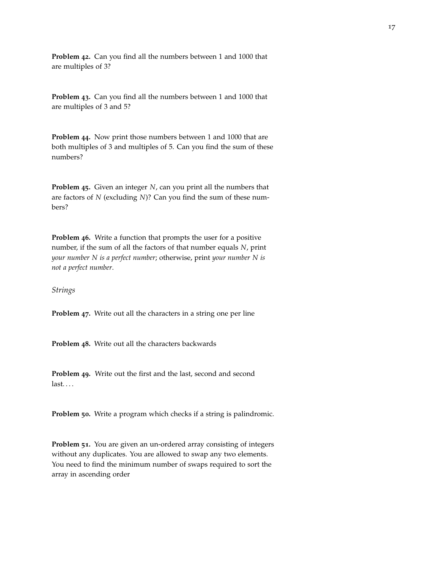**Problem 42.** Can you find all the numbers between 1 and 1000 that are multiples of 3?

**Problem 43.** Can you find all the numbers between 1 and 1000 that are multiples of 3 and 5?

**Problem 44.** Now print those numbers between 1 and 1000 that are both multiples of 3 and multiples of 5. Can you find the sum of these numbers?

**Problem 45.** Given an integer *N*, can you print all the numbers that are factors of *N* (excluding *N*)? Can you find the sum of these numbers?

**Problem 46.** Write a function that prompts the user for a positive number, if the sum of all the factors of that number equals *N*, print *your number N is a perfect number*; otherwise, print *your number N is not a perfect number*.

*Strings*

**Problem 47.** Write out all the characters in a string one per line

**Problem 48.** Write out all the characters backwards

**Problem 49.** Write out the first and the last, second and second last. . . .

**Problem 50.** Write a program which checks if a string is palindromic.

**Problem 51.** You are given an un-ordered array consisting of integers without any duplicates. You are allowed to swap any two elements. You need to find the minimum number of swaps required to sort the array in ascending order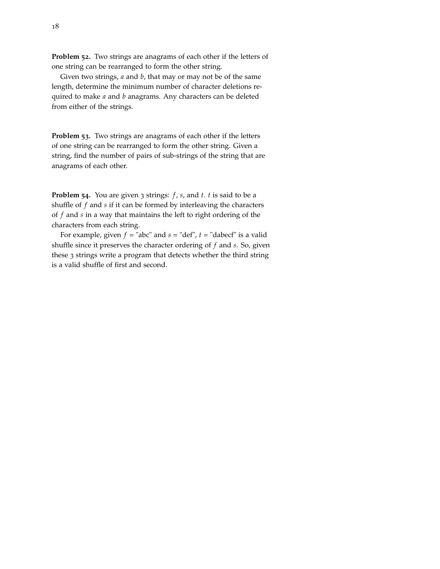**Problem 52.** Two strings are anagrams of each other if the letters of one string can be rearranged to form the other string.

Given two strings, *a* and *b*, that may or may not be of the same length, determine the minimum number of character deletions required to make *a* and *b* anagrams. Any characters can be deleted from either of the strings.

**Problem 53.** Two strings are anagrams of each other if the letters of one string can be rearranged to form the other string. Given a string, find the number of pairs of sub-strings of the string that are anagrams of each other.

**Problem 54.** You are given 3 strings: *f* , *s*, and *t*. *t* is said to be a shuffle of *f* and *s* if it can be formed by interleaving the characters of *f* and *s* in a way that maintains the left to right ordering of the characters from each string.

For example, given  $f =$  "abc" and  $s =$  "def",  $t =$  "dabecf" is a valid shuffle since it preserves the character ordering of *f* and *s*. So, given these 3 strings write a program that detects whether the third string is a valid shuffle of first and second.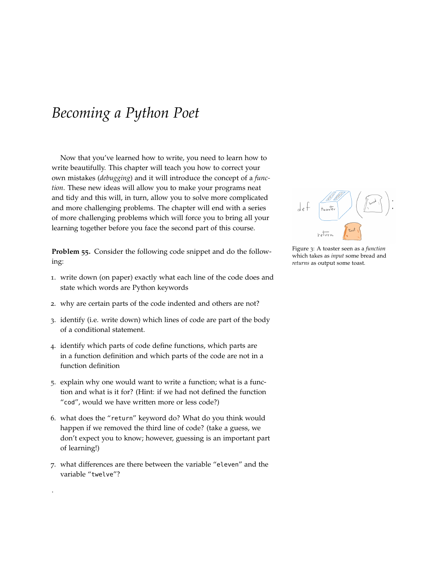# <span id="page-18-0"></span>*Becoming a Python Poet*

Now that you've learned how to write, you need to learn how to write beautifully. This chapter will teach you how to correct your own mistakes (*debugging*) and it will introduce the concept of a *function*. These new ideas will allow you to make your programs neat and tidy and this will, in turn, allow you to solve more complicated and more challenging problems. The chapter will end with a series of more challenging problems which will force you to bring all your learning together before you face the second part of this course.

**Problem 55.** Consider the following code snippet and do the following:

- 1. write down (on paper) exactly what each line of the code does and state which words are Python keywords
- 2. why are certain parts of the code indented and others are not?
- 3. identify (i.e. write down) which lines of code are part of the body of a conditional statement.
- 4. identify which parts of code define functions, which parts are in a function definition and which parts of the code are not in a function definition
- 5. explain why one would want to write a function; what is a function and what is it for? (Hint: if we had not defined the function "cod", would we have written more or less code?)
- 6. what does the "return" keyword do? What do you think would happen if we removed the third line of code? (take a guess, we don't expect you to know; however, guessing is an important part of learning!)
- 7. what differences are there between the variable "eleven" and the variable "twelve"?

.



Figure 3: A toaster seen as a *function* which takes as *input* some bread and *returns* as output some toast.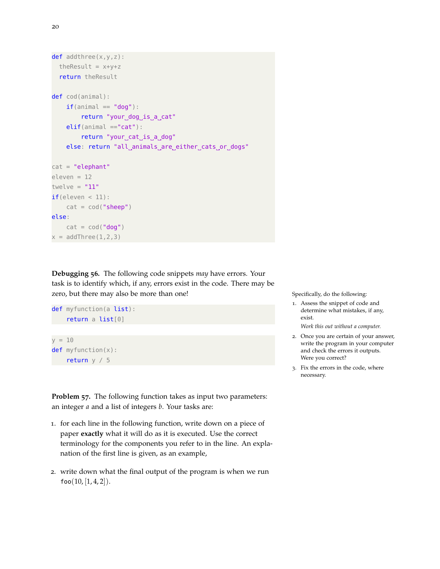```
def addthree(x,y,z):
  the<br>Result = x+y+zreturn theResult
def cod(animal):
    if(animal == "dog"):
        return "your_dog_is_a_cat"
    elif(animal == "cat"):
        return "your_cat_is_a_dog"
    else: return "all_animals_are_either_cats_or_dogs"
cat = "elephant"
eleven = 12
twelve = "11"if(eleven < 11):cat = cod("sheep")else:
    cat = cod("dog")x = addThree(1, 2, 3)
```
**Debugging 56.** The following code snippets *may* have errors. Your task is to identify which, if any, errors exist in the code. There may be zero, but there may also be more than one! Specifically, do the following:



**Problem 57.** The following function takes as input two parameters: an integer *a* and a list of integers *b*. Your tasks are:

- 1. for each line in the following function, write down on a piece of paper **exactly** what it will do as it is executed. Use the correct terminology for the components you refer to in the line. An explanation of the first line is given, as an example,
- 2. write down what the final output of the program is when we run  $foo(10, [1, 4, 2]).$

- 1. Assess the snippet of code and determine what mistakes, if any, exist. *Work this out without a computer.*
- 2. Once you are certain of your answer, write the program in your computer and check the errors it outputs. Were you correct?
- 3. Fix the errors in the code, where necessary.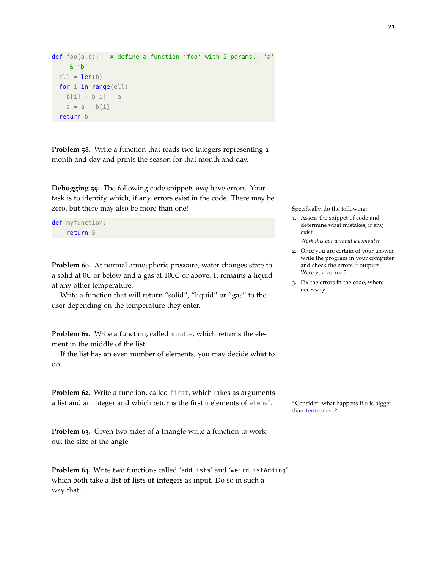```
def foo(a,b): # define a function 'foo' with 2 params.: 'a'
    & 'b'
 ell = len(b)for i in range(ell):
   b[i] = b[i] - aa = a - b[i]return b
```
**Problem 58.** Write a function that reads two integers representing a month and day and prints the season for that month and day.

**Debugging 59.** The following code snippets *may* have errors. Your task is to identify which, if any, errors exist in the code. There may be zero, but there may also be more than one! Specifically, do the following:

```
def myfunction:
    return 5
```
**Problem 60.** At normal atmospheric pressure, water changes state to a solid at 0*C* or below and a gas at 100*C* or above. It remains a liquid at any other temperature.

Write a function that will return "solid", "liquid" or "gas" to the user depending on the temperature they enter.

**Problem 61.** Write a function, called middle, which returns the element in the middle of the list.

If the list has an even number of elements, you may decide what to do.

**Problem 62.** Write a function, called first, which takes as arguments a list and an integer and which returns the first n elements of  $e$ lems<sup>1</sup>.

**Problem 63.** Given two sides of a triangle write a function to work out the size of the angle.

**Problem 64.** Write two functions called 'addLists' and 'weirdListAdding' which both take a **list of lists of integers** as input. Do so in such a way that:

1. Assess the snippet of code and determine what mistakes, if any, exist.

*Work this out without a computer.*

- 2. Once you are certain of your answer, write the program in your computer and check the errors it outputs. Were you correct?
- 3. Fix the errors in the code, where necessary.

<sup>1</sup> Consider: what happens if n is bigger than len(elems)?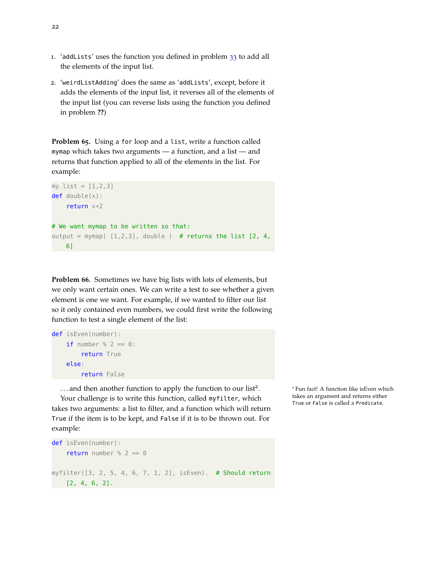- 1. 'addLists' uses the function you defined in problem [33](#page-14-1) to add all the elements of the input list.
- 2. 'weirdListAdding' does the same as 'addLists', except, before it adds the elements of the input list, it reverses all of the elements of the input list (you can reverse lists using the function you defined in problem **??**)

**Problem 65.** Using a for loop and a list, write a function called mymap which takes two arguments — a function, and a list — and returns that function applied to all of the elements in the list. For example:

```
my_{\text{list}} = [1, 2, 3]def double(x):return x*2
# We want mymap to be written so that:
output = mymap([1,2,3], double) # returns the list [2, 4, 4]6]
```
**Problem 66.** Sometimes we have big lists with lots of elements, but we only want certain ones. We can write a test to see whether a given element is one we want. For example, if we wanted to filter our list so it only contained even numbers, we could first write the following function to test a single element of the list:

```
def isEven(number):
    if number % 2 == 0:
        return True
    else:
        return False
```
... and then another function to apply the function to our list<sup>2</sup>.

Your challenge is to write this function, called myfilter, which takes two arguments: a list to filter, and a function which will return True if the item is to be kept, and False if it is to be thrown out. For example:

```
def isEven(number):
    return number % 2 == 0myfilter([3, 2, 5, 4, 6, 7, 1, 2], isEven). # Should return
[2, 4, 6, 2].
```
<sup>2</sup> Fun fact! A function like isEven which takes an argument and returns either True or False is called a Predicate.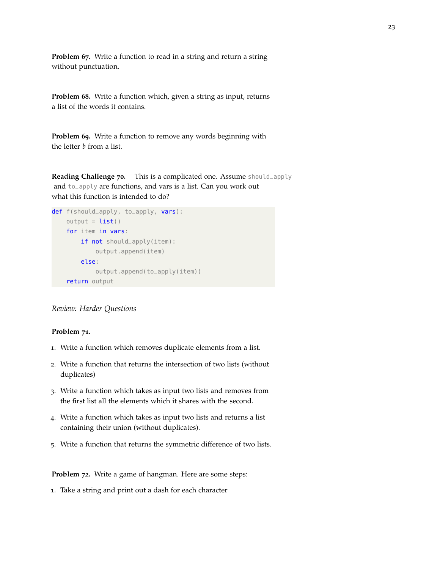**Problem 67.** Write a function to read in a string and return a string without punctuation.

**Problem 68.** Write a function which, given a string as input, returns a list of the words it contains.

**Problem 69.** Write a function to remove any words beginning with the letter *b* from a list.

**Reading Challenge 70.** This is a complicated one. Assume should\_apply and to\_apply are functions, and vars is a list. Can you work out what this function is intended to do?

```
def f(should_apply, to_apply, vars):
    output = list()for item in vars:
        if not should_apply(item):
            output.append(item)
        else:
            output.append(to_apply(item))
    return output
```
### *Review: Harder Questions*

#### **Problem 71.**

- 1. Write a function which removes duplicate elements from a list.
- 2. Write a function that returns the intersection of two lists (without duplicates)
- 3. Write a function which takes as input two lists and removes from the first list all the elements which it shares with the second.
- 4. Write a function which takes as input two lists and returns a list containing their union (without duplicates).
- 5. Write a function that returns the symmetric difference of two lists.

**Problem 72.** Write a game of hangman. Here are some steps:

1. Take a string and print out a dash for each character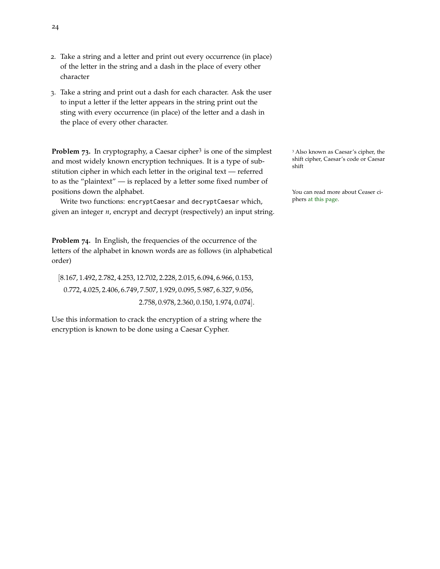- 2. Take a string and a letter and print out every occurrence (in place) of the letter in the string and a dash in the place of every other character
- 3. Take a string and print out a dash for each character. Ask the user to input a letter if the letter appears in the string print out the sting with every occurrence (in place) of the letter and a dash in the place of every other character.

**Problem 73.** In cryptography, a Caesar cipher<sup>3</sup> is one of the simplest and most widely known encryption techniques. It is a type of substitution cipher in which each letter in the original text — referred to as the "plaintext" — is replaced by a letter some fixed number of positions down the alphabet. You can read more about Ceaser ci-

Write two functions: encryptCaesar and decryptCaesar which, the phers [at this page.](https://simple.wikipedia.org/wiki/Caesar_cipher) given an integer *n*, encrypt and decrypt (respectively) an input string.

**Problem 74.** In English, the frequencies of the occurrence of the letters of the alphabet in known words are as follows (in alphabetical order)

[8.167, 1.492, 2.782, 4.253, 12.702, 2.228, 2.015, 6.094, 6.966, 0.153, 0.772, 4.025, 2.406, 6.749, 7.507, 1.929, 0.095, 5.987, 6.327, 9.056, 2.758, 0.978, 2.360, 0.150, 1.974, 0.074].

Use this information to crack the encryption of a string where the encryption is known to be done using a Caesar Cypher.

<sup>3</sup> Also known as Caesar's cipher, the shift cipher, Caesar's code or Caesar shift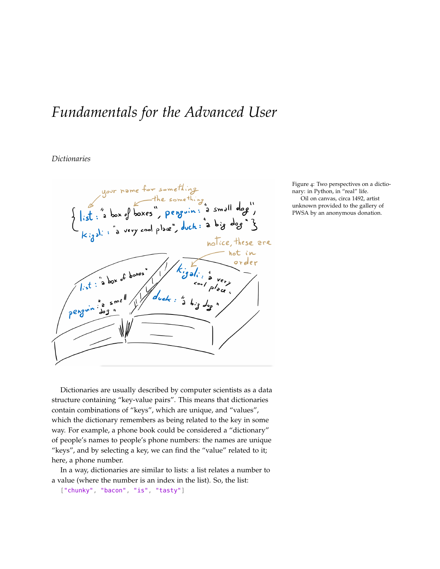# <span id="page-24-0"></span>*Fundamentals for the Advanced User*

# *Dictionaries*



Figure 4: Two perspectives on a dictionary: in Python, in "real" life. Oil on canvas, circa 1492, artist unknown provided to the gallery of PWSA by an anonymous donation.

Dictionaries are usually described by computer scientists as a data structure containing "key-value pairs". This means that dictionaries contain combinations of "keys", which are unique, and "values", which the dictionary remembers as being related to the key in some way. For example, a phone book could be considered a "dictionary" of people's names to people's phone numbers: the names are unique "keys", and by selecting a key, we can find the "value" related to it; here, a phone number.

In a way, dictionaries are similar to lists: a list relates a number to a value (where the number is an index in the list). So, the list:

["chunky", "bacon", "is", "tasty"]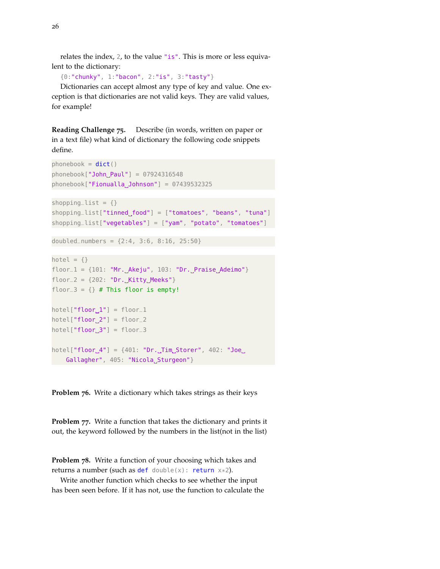relates the index, 2, to the value "is". This is more or less equivalent to the dictionary:

{0:"chunky", 1:"bacon", 2:"is", 3:"tasty"}

Dictionaries can accept almost any type of key and value. One exception is that dictionaries are not valid keys. They are valid values, for example!

**Reading Challenge 75.** Describe (in words, written on paper or in a text file) what kind of dictionary the following code snippets define.

```
phonebook = dict()phonebook['John_Paul"] = 07924316548phonebook['Fionualla_Johnson''] = 07439532325shopping_list = \{\}shopping_list["tinned_food"] = ['tomatoes", "beans", "tuna"]shopping_list["vegetables"] = ["yam", "potato", "tomatoes"]
doubled_numbers = {2:4, 3:6, 8:16, 25:50}
hotel = \{\}floor_1 = \{101: "Mr._Akeyu", 103: "Dr._Praise_Adeimo"\}floor_2 = \{202: "Dr._Kitty_<del>Meeks"</del> \}floor_3 = \{\} # This floor is empty!
```
 $hotel["floor_1"] = floor_1$  $hotel["floor_2"] = floor_2$  $hotel["floor_3"] = floor_3$ 

 $hotel["floor_4"] = {401: "Dr._Jim_Storer", 402: "Joe.]}$ Gallagher", 405: "Nicola\_Sturgeon"}

**Problem 76.** Write a dictionary which takes strings as their keys

**Problem 77.** Write a function that takes the dictionary and prints it out, the keyword followed by the numbers in the list(not in the list)

**Problem 78.** Write a function of your choosing which takes and returns a number (such as def double(x): return  $x*2$ ).

Write another function which checks to see whether the input has been seen before. If it has not, use the function to calculate the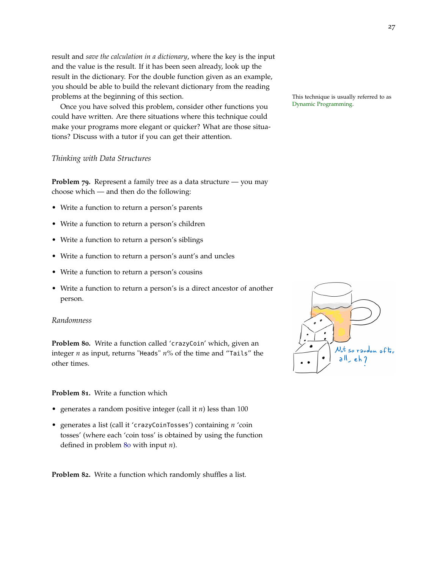result and *save the calculation in a dictionary*, where the key is the input and the value is the result. If it has been seen already, look up the result in the dictionary. For the double function given as an example, you should be able to build the relevant dictionary from the reading problems at the beginning of this section. This technique is usually referred to as<br>  $\frac{1}{2}$ 

Once you have solved this problem, consider other functions you could have written. Are there situations where this technique could make your programs more elegant or quicker? What are those situations? Discuss with a tutor if you can get their attention.

#### *Thinking with Data Structures*

**Problem 79.** Represent a family tree as a data structure — you may choose which — and then do the following:

- Write a function to return a person's parents
- Write a function to return a person's children
- Write a function to return a person's siblings
- Write a function to return a person's aunt's and uncles
- Write a function to return a person's cousins
- Write a function to return a person's is a direct ancestor of another person.

#### *Randomness*

<span id="page-26-0"></span>**Problem 80.** Write a function called 'crazyCoin' which, given an integer *n* as input, returns "Heads" *n*% of the time and "Tails" the other times.

### **Problem 81.** Write a function which

- generates a random positive integer (call it *n*) less than 100
- generates a list (call it 'crazyCoinTosses') containing *n* 'coin tosses' (where each 'coin toss' is obtained by using the function defined in problem [80](#page-26-0) with input *n*).

**Problem 82.** Write a function which randomly shuffles a list.

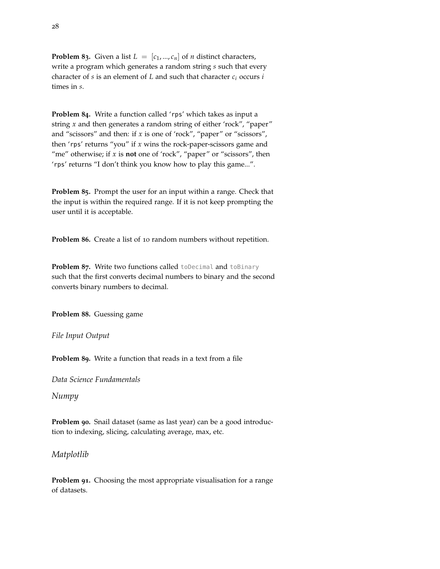**Problem 83.** Given a list  $L = [c_1, ..., c_n]$  of *n* distinct characters, write a program which generates a random string *s* such that every character of *s* is an element of *L* and such that character *c<sup>i</sup>* occurs *i* times in *s*.

**Problem 84.** Write a function called 'rps' which takes as input a string *x* and then generates a random string of either 'rock", "paper" and "scissors" and then: if *x* is one of 'rock", "paper" or "scissors", then 'rps' returns "you" if *x* wins the rock-paper-scissors game and "me" otherwise; if *x* is **not** one of 'rock", "paper" or "scissors", then 'rps' returns "I don't think you know how to play this game...".

**Problem 85.** Prompt the user for an input within a range. Check that the input is within the required range. If it is not keep prompting the user until it is acceptable.

**Problem 86.** Create a list of 10 random numbers without repetition.

**Problem 87.** Write two functions called toDecimal and toBinary such that the first converts decimal numbers to binary and the second converts binary numbers to decimal.

**Problem 88.** Guessing game

*File Input Output*

**Problem 89.** Write a function that reads in a text from a file

*Data Science Fundamentals*

*Numpy*

**Problem 90.** Snail dataset (same as last year) can be a good introduction to indexing, slicing, calculating average, max, etc.

*Matplotlib*

**Problem 91.** Choosing the most appropriate visualisation for a range of datasets.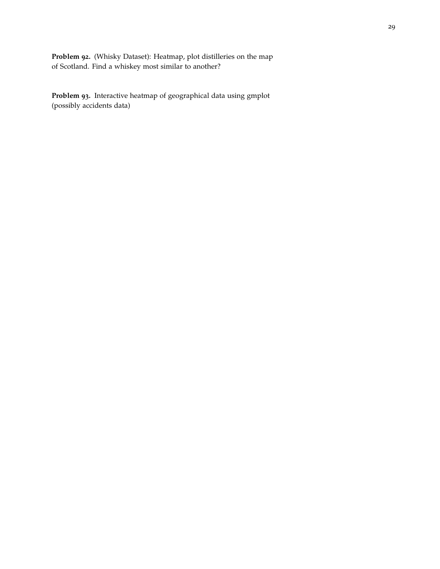**Problem 92.** (Whisky Dataset): Heatmap, plot distilleries on the map of Scotland. Find a whiskey most similar to another?

**Problem 93.** Interactive heatmap of geographical data using gmplot (possibly accidents data)